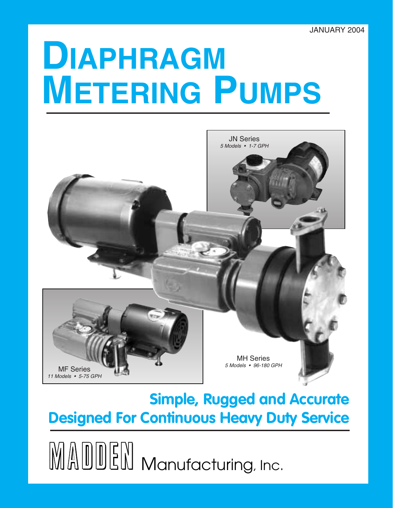# **DIAPHRAGM METERING PUMPS**



# **Simple, Rugged and Accurate Designed For Continuous Heavy Duty Service**

 $\mathbb{M}\mathbb{A}$   $\mathbb{D}\mathbb{E}$   $\mathbb{N}\mathbb{M}$  Manufacturing, Inc.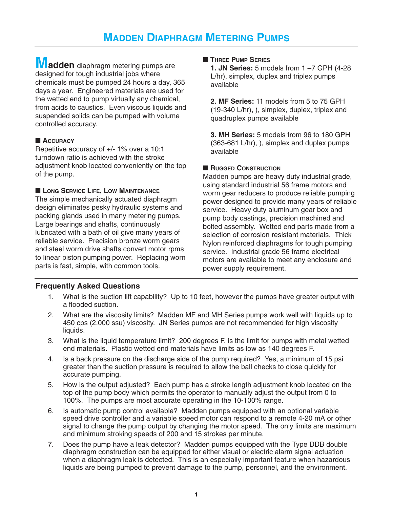**Madden** diaphragm metering pumps are designed for tough industrial jobs where chemicals must be pumped 24 hours a day, 365 days a year. Engineered materials are used for the wetted end to pump virtually any chemical, from acids to caustics. Even viscous liquids and suspended solids can be pumped with volume controlled accuracy.

### ■ **ACCURACY**

Repetitive accuracy of +/- 1% over a 10:1 turndown ratio is achieved with the stroke adjustment knob located conveniently on the top of the pump.

### ■ **LONG SERVICE LIFE, LOW MAINTENANCE**

The simple mechanically actuated diaphragm design eliminates pesky hydraulic systems and packing glands used in many metering pumps. Large bearings and shafts, continuously lubricated with a bath of oil give many years of reliable service. Precision bronze worm gears and steel worm drive shafts convert motor rpms to linear piston pumping power. Replacing worn parts is fast, simple, with common tools.

### ■ **THREE PUMP SERIES**

**1. JN Series:** 5 models from 1 –7 GPH (4-28 L/hr), simplex, duplex and triplex pumps available

**2. MF Series:** 11 models from 5 to 75 GPH (19-340 L/hr), ), simplex, duplex, triplex and quadruplex pumps available

**3. MH Series:** 5 models from 96 to 180 GPH (363-681 L/hr), ), simplex and duplex pumps available

### ■ **RUGGED CONSTRUCTION**

Madden pumps are heavy duty industrial grade, using standard industrial 56 frame motors and worm gear reducers to produce reliable pumping power designed to provide many years of reliable service. Heavy duty aluminum gear box and pump body castings, precision machined and bolted assembly. Wetted end parts made from a selection of corrosion resistant materials. Thick Nylon reinforced diaphragms for tough pumping service. Industrial grade 56 frame electrical motors are available to meet any enclosure and power supply requirement.

### **Frequently Asked Questions**

- 1. What is the suction lift capability? Up to 10 feet, however the pumps have greater output with a flooded suction.
- 2. What are the viscosity limits? Madden MF and MH Series pumps work well with liquids up to 450 cps (2,000 ssu) viscosity. JN Series pumps are not recommended for high viscosity liquids.
- 3. What is the liquid temperature limit? 200 degrees F. is the limit for pumps with metal wetted end materials. Plastic wetted end materials have limits as low as 140 degrees F.
- 4. Is a back pressure on the discharge side of the pump required? Yes, a minimum of 15 psi greater than the suction pressure is required to allow the ball checks to close quickly for accurate pumping.
- 5. How is the output adjusted? Each pump has a stroke length adjustment knob located on the top of the pump body which permits the operator to manually adjust the output from 0 to 100%. The pumps are most accurate operating in the 10-100% range.
- 6. Is automatic pump control available? Madden pumps equipped with an optional variable speed drive controller and a variable speed motor can respond to a remote 4-20 mA or other signal to change the pump output by changing the motor speed. The only limits are maximum and minimum stroking speeds of 200 and 15 strokes per minute.
- 7. Does the pump have a leak detector? Madden pumps equipped with the Type DDB double diaphragm construction can be equipped for either visual or electric alarm signal actuation when a diaphragm leak is detected. This is an especially important feature when hazardous liquids are being pumped to prevent damage to the pump, personnel, and the environment.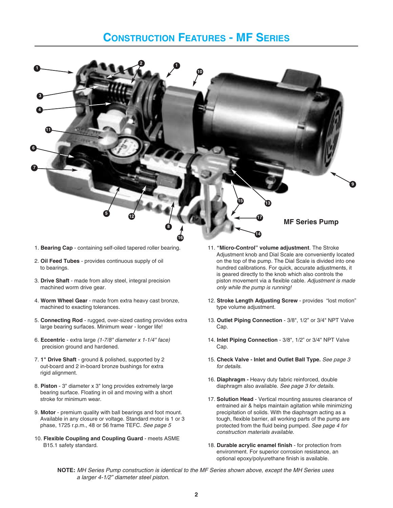# **CONSTRUCTION FEATURES - MF SERIES**



- 1. **Bearing Cap** containing self-oiled tapered roller bearing.
- 2. **Oil Feed Tubes** provides continuous supply of oil to bearings.
- 3. **Drive Shaft**  made from alloy steel, integral precision machined worm drive gear.
- 4. **Worm Wheel Gear** made from extra heavy cast bronze, machined to exacting tolerances.
- 5. **Connecting Rod** rugged, over-sized casting provides extra large bearing surfaces. Minimum wear - longer life!
- 6. **Eccentric** extra large (1-7/8" diameter x 1-1/4" face) precision ground and hardened.
- 7. **1" Drive Shaft**  ground & polished, supported by 2 out-board and 2 in-board bronze bushings for extra rigid alignment.
- 8. **Piston** 3" diameter x 3" long provides extremely large bearing surface. Floating in oil and moving with a short stroke for minimum wear.
- 9. **Motor** premium quality with ball bearings and foot mount. Available in any closure or voltage. Standard motor is 1 or 3 phase, 1725 r.p.m., 48 or 56 frame TEFC. See page 5
- 10. **Flexible Coupling and Coupling Guard** meets ASME B15.1 safety standard.
- 11. **"Micro-Control" volume adjustment**. The Stroke Adjustment knob and Dial Scale are conveniently located on the top of the pump. The Dial Scale is divided into one hundred calibrations. For quick, accurate adjustments, it is geared directly to the knob which also controls the piston movement via a flexible cable. Adjustment is made only while the pump is running!
- 12. **Stroke Length Adjusting Screw**  provides "lost motion" type volume adjustment.
- 13. **Outlet Piping Connection**  3/8", 1/2" or 3/4" NPT Valve Cap.
- 14. **Inlet Piping Connection**  3/8", 1/2" or 3/4" NPT Valve Cap.
- 15. **Check Valve Inlet and Outlet Ball Type.** See page 3 for details.
- 16. **Diaphragm** Heavy duty fabric reinforced, double diaphragm also available. See page 3 for details.
- 17. **Solution Head** Vertical mounting assures clearance of entrained air & helps maintain agitation while minimizing precipitation of solids. With the diaphragm acting as a tough, flexible barrier, all working parts of the pump are protected from the fluid being pumped. See page 4 for construction materials available.
- 18. **Durable acrylic enamel finish** for protection from environment. For superior corrosion resistance, an optional epoxy/polyurethane finish is available.
- **NOTE:** MH Series Pump construction is identical to the MF Series shown above, except the MH Series uses a larger 4-1/2" diameter steel piston.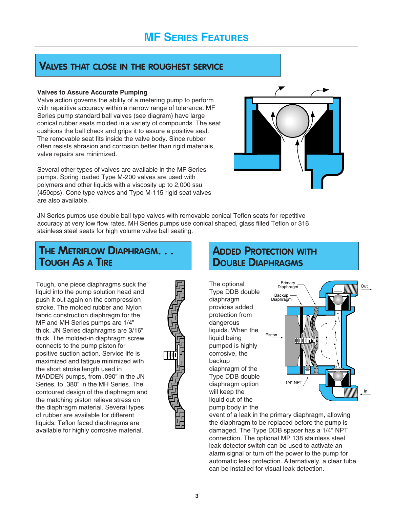## **VALVES THAT CLOSE IN THE ROUGHEST SERVICE**

#### **Valves to Assure Accurate Pumping**

Valve action governs the ability of a metering pump to perform with repetitive accuracy within a narrow range of tolerance. MF Series pump standard ball valves (see diagram) have large conical rubber seats molded in a variety of compounds. The seat cushions the ball check and grips it to assure a positive seal. The removable seat fits inside the valve body. Since rubber often resists abrasion and corrosion better than rigid materials, valve repairs are minimized.

Several other types of valves are available in the MF Series pumps. Spring loaded Type M-200 valves are used with polymers and other liquids with a viscosity up to 2,000 ssu (450cps). Cone type valves and Type M-115 rigid seat valves are also available.



JN Series pumps use double ball type valves with removable conical Teflon seats for repetitive accuracy at very low flow rates. MH Series pumps use conical shaped, glass filled Teflon or 316 stainless steel seats for high volume valve ball seating.

# **THE METRIFLOW DIAPHRAGM. . . TOUGH AS A TIRE**

Tough, one piece diaphragms suck the liquid into the pump solution head and push it out again on the compression stroke. The molded rubber and Nylon fabric construction diaphragm for the MF and MH Series pumps are 1/4" thick. JN Series diaphragms are 3/16" thick. The molded-in diaphragm screw connects to the pump piston for positive suction action. Service life is maximized and fatigue minimized with the short stroke length used in MADDEN pumps, from .090" in the JN Series, to .380" in the MH Series. The contoured design of the diaphragm and the matching piston relieve stress on the diaphragm material. Several types of rubber are available for different liquids. Teflon faced diaphragms are available for highly corrosive material.



### **ADDED PROTECTION WITH DOUBLE DIAPHRAGMS**

The optional Type DDB double diaphragm provides added protection from dangerous liquids. When the liquid being pumped is highly corrosive, the backup diaphragm of the Type DDB double diaphragm option will keep the liquid out of the pump body in the



event of a leak in the primary diaphragm, allowing the diaphragm to be replaced before the pump is damaged. The Type DDB spacer has a 1/4" NPT connection. The optional MP 138 stainless steel leak detector switch can be used to activate an alarm signal or turn off the power to the pump for automatic leak protection. Alternatively, a clear tube can be installed for visual leak detection.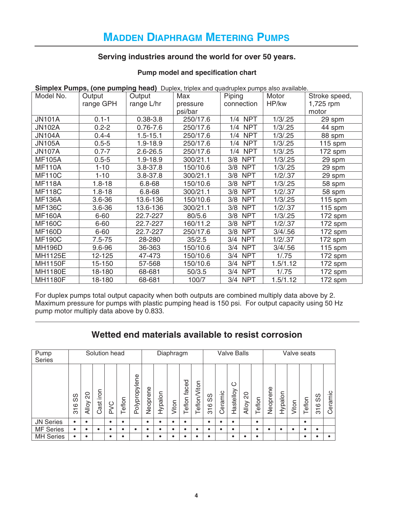### **Serving industries around the world for over 50 years.**

### **Pump model and specification chart**

|                | <b>Simplex Pumps, (One pumping nead)</b> Duplex, inplex and quadruplex pumps also available. |              |          |                   |          |               |  |  |  |  |  |
|----------------|----------------------------------------------------------------------------------------------|--------------|----------|-------------------|----------|---------------|--|--|--|--|--|
| Model No.      | Output                                                                                       | Output       | Max      | Piping            | Motor    | Stroke speed, |  |  |  |  |  |
|                | range GPH                                                                                    | range L/hr   | pressure | connection        | HP/kw    | 1,725 rpm     |  |  |  |  |  |
|                |                                                                                              |              | psi/bar  |                   |          | motor         |  |  |  |  |  |
| <b>JN101A</b>  | $0.1 - 1$                                                                                    | $0.38 - 3.8$ | 250/17.6 | 1/4 NPT           | 1/3/0.25 | 29 sp $m$     |  |  |  |  |  |
| <b>JN102A</b>  | $0.2 - 2$                                                                                    | $0.76 - 7.6$ | 250/17.6 | <b>NPT</b><br>1/4 | 1/3/0.25 | 44 spm        |  |  |  |  |  |
| <b>JN104A</b>  | $0.4 - 4$                                                                                    | $1.5 - 15.1$ | 250/17.6 | 1/4 NPT           | 1/3/0.25 | 88 spm        |  |  |  |  |  |
| <b>JN105A</b>  | $0.5 - 5$                                                                                    | 1.9-18.9     | 250/17.6 | <b>NPT</b><br>1/4 | 1/3/0.25 | 115 spm       |  |  |  |  |  |
| <b>JN107A</b>  | $0.7 - 7$                                                                                    | $2.6 - 26.5$ | 250/17.6 | <b>NPT</b><br>1/4 | 1/3/0.25 | 172 spm       |  |  |  |  |  |
| <b>MF105A</b>  | $0.5 - 5$                                                                                    | $1.9 - 18.9$ | 300/21.1 | 3/8 NPT           | 1/3/0.25 | 29 spm        |  |  |  |  |  |
| <b>MF110A</b>  | $1 - 10$                                                                                     | $3.8 - 37.8$ | 150/10.6 | 3/8 NPT           | 1/3/0.25 | 29 spm        |  |  |  |  |  |
| <b>MF110C</b>  | $1 - 10$                                                                                     | $3.8 - 37.8$ | 300/21.1 | 3/8 NPT           | 1/2/.37  | 29 spm        |  |  |  |  |  |
| <b>MF118A</b>  | $1.8 - 18$                                                                                   | $6.8 - 68$   | 150/10.6 | 3/8 NPT           | 1/3/0.25 | 58 spm        |  |  |  |  |  |
| <b>MF118C</b>  | $1.8 - 18$                                                                                   | $6.8 - 68$   | 300/21.1 | 3/8 NPT           | 1/2/.37  | 58 spm        |  |  |  |  |  |
| <b>MF136A</b>  | $3.6 - 36$                                                                                   | 13.6-136     | 150/10.6 | 3/8<br><b>NPT</b> | 1/3/0.25 | $115$ spm     |  |  |  |  |  |
| <b>MF136C</b>  | $3.6 - 36$                                                                                   | 13.6-136     | 300/21.1 | 3/8 NPT           | 1/2/.37  | $115$ spm     |  |  |  |  |  |
| <b>MF160A</b>  | $6 - 60$                                                                                     | 22.7-227     | 80/5.6   | 3/8 NPT           | 1/3/0.25 | 172 spm       |  |  |  |  |  |
| <b>MF160C</b>  | $6 - 60$                                                                                     | 22.7-227     | 160/11.2 | 3/8 NPT           | 1/2/0.37 | 172 spm       |  |  |  |  |  |
| <b>MF160D</b>  | $6 - 60$                                                                                     | 22.7-227     | 250/17.6 | 3/8 NPT           | 3/4/0.56 | 172 spm       |  |  |  |  |  |
| <b>MF190C</b>  | $7.5 - 75$                                                                                   | 28-280       | 35/2.5   | 3/4 NPT           | 1/2/0.37 | 172 spm       |  |  |  |  |  |
| <b>MH196D</b>  | 9.6-96                                                                                       | 36-363       | 150/10.6 | 3/4 NPT           | 3/4/0.56 | $115$ spm     |  |  |  |  |  |
| MH1125E        | 12-125                                                                                       | 47-473       | 150/10.6 | 3/4 NPT           | 1/.75    | 172 spm       |  |  |  |  |  |
| <b>MH1150F</b> | 15-150                                                                                       | 57-568       | 150/10.6 | 3/4 NPT           | 1.5/1.12 | 172 spm       |  |  |  |  |  |
| <b>MH1180E</b> | 18-180                                                                                       | 68-681       | 50/3.5   | 3/4 NPT           | 1/0.75   | 172 spm       |  |  |  |  |  |
| <b>MH1180F</b> | 18-180                                                                                       | 68-681       | 100/7    | 3/4 NPT           | 1.5/1.12 | 172 spm       |  |  |  |  |  |

**Simplex Pumps, (one pumping head)** Duplex, triplex and quadruplex pumps also available.

For duplex pumps total output capacity when both outputs are combined multiply data above by 2. Maximum pressure for pumps with plastic pumping head is 150 psi. For output capacity using 50 Hz pump motor multiply data above by 0.833.

### **Wetted end materials available to resist corrosion**

| Pump<br><b>Series</b> | Solution head                                      |                    |                   |             |       | Diaphragm     |          |         |       | <b>Valve Balls</b> |             |           |         |                | Valve seats        |        |          |         |       |        |                                              |           |
|-----------------------|----------------------------------------------------|--------------------|-------------------|-------------|-------|---------------|----------|---------|-------|--------------------|-------------|-----------|---------|----------------|--------------------|--------|----------|---------|-------|--------|----------------------------------------------|-----------|
|                       | ၯ<br>S<br>$\circ$<br>$\overline{\phantom{0}}$<br>൚ | 20<br><b>Alloy</b> | mol<br>._<br>Cast | $\leq$<br>௨ | eflon | Polypropylene | Neoprene | Hypalon | Viton | faced<br>eflon     | eflon/Viton | လိ<br>316 | Ceramic | ပ<br>Hastelloy | SO<br><b>Alloy</b> | Teflon | Neoprene | Hypalon | Viton | Teflon | ၯ<br>w<br>ဖ<br>$\overline{\phantom{0}}$<br>ო | Ceramic   |
| <b>JN Series</b>      | ٠                                                  |                    |                   | ٠           |       |               | ٠        |         | ٠     | ٠                  |             | ٠         |         |                |                    | ٠      |          |         |       | ٠      |                                              |           |
| <b>MF</b> Series      | ٠                                                  |                    | ٠                 |             |       |               |          |         | ٠     | ٠                  |             | ٠         |         |                |                    | ٠      |          |         | ٠     |        |                                              |           |
| <b>MH Series</b>      | ٠                                                  |                    |                   | ٠           | ٠     |               | ٠        |         | ٠     |                    |             | ٠         |         |                |                    | ٠      |          |         |       | ٠      |                                              | $\bullet$ |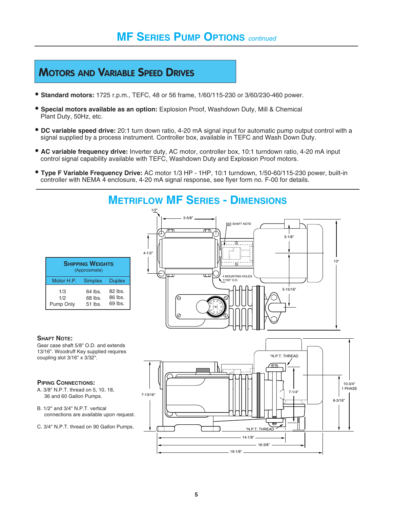# **MOTORS AND VARIABLE SPEED DRIVES**

- **Standard motors:** 1725 r.p.m., TEFC, 48 or 56 frame, 1/60/115-230 or 3/60/230-460 power.
- **Special motors available as an option:** Explosion Proof, Washdown Duty, Mill & Chemical Plant Duty, 50Hz, etc.
- **DC variable speed drive:** 20:1 turn down ratio, 4-20 mA signal input for automatic pump output control with a signal supplied by a process instrument. Controller box, available in TEFC and Wash Down Duty.
- **AC variable frequency drive:** Inverter duty, AC motor, controller box, 10:1 turndown ratio, 4-20 mA input control signal capability available with TEFC, Washdown Duty and Explosion Proof motors.
- **Type F Variable Frequency Drive:** AC motor 1/3 HP 1HP, 10:1 turndown, 1/50-60/115-230 power, built-in controller with NEMA 4 enclosure, 4-20 mA signal response, see flyer form no. F-00 for details.

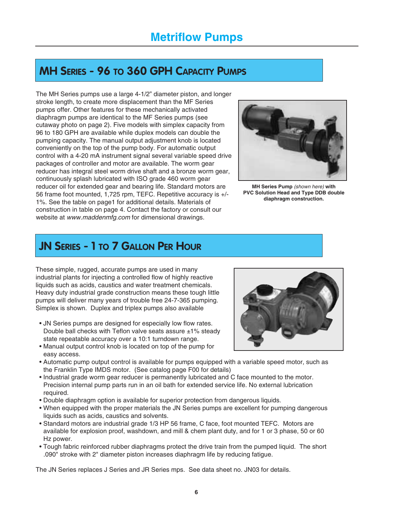# **MH SERIES - 96 TO 360 GPH CAPACITY PUMPS**

The MH Series pumps use a large 4-1/2" diameter piston, and longer stroke length, to create more displacement than the MF Series pumps offer. Other features for these mechanically activated diaphragm pumps are identical to the MF Series pumps (see cutaway photo on page 2). Five models with simplex capacity from 96 to 180 GPH are available while duplex models can double the pumping capacity. The manual output adjustment knob is located conveniently on the top of the pump body. For automatic output control with a 4-20 mA instrument signal several variable speed drive packages of controller and motor are available. The worm gear reducer has integral steel worm drive shaft and a bronze worm gear, continuously splash lubricated with ISO grade 460 worm gear reducer oil for extended gear and bearing life. Standard motors are 56 frame foot mounted, 1,725 rpm, TEFC. Repetitive accuracy is +/- 1%. See the table on page1 for additional details. Materials of construction in table on page 4. Contact the factory or consult our website at www.maddenmfg.com for dimensional drawings.



**MH Series Pump** (shown here) **with PVC Solution Head and Type DDB double diaphragm construction.**

# **JN SERIES - 1 TO 7 GALLON PER HOUR**

These simple, rugged, accurate pumps are used in many industrial plants for injecting a controlled flow of highly reactive liquids such as acids, caustics and water treatment chemicals. Heavy duty industrial grade construction means these tough little pumps will deliver many years of trouble free 24-7-365 pumping. Simplex is shown. Duplex and triplex pumps also available

- JN Series pumps are designed for especially low flow rates. Double ball checks with Teflon valve seats assure  $\pm 1\%$  steady state repeatable accuracy over a 10:1 turndown range.
- Manual output control knob is located on top of the pump for easy access.
- Automatic pump output control is available for pumps equipped with a variable speed motor, such as the Franklin Type IMDS motor. (See catalog page F00 for details)
- Industrial grade worm gear reducer is permanently lubricated and C face mounted to the motor. Precision internal pump parts run in an oil bath for extended service life. No external lubrication required.
- Double diaphragm option is available for superior protection from dangerous liquids.
- When equipped with the proper materials the JN Series pumps are excellent for pumping dangerous liquids such as acids, caustics and solvents.
- Standard motors are industrial grade 1/3 HP 56 frame, C face, foot mounted TEFC. Motors are available for explosion proof, washdown, and mill & chem plant duty, and for 1 or 3 phase, 50 or 60 Hz power.
- Tough fabric reinforced rubber diaphragms protect the drive train from the pumped liquid. The short .090" stroke with 2" diameter piston increases diaphragm life by reducing fatigue.

The JN Series replaces J Series and JR Series mps. See data sheet no. JN03 for details.